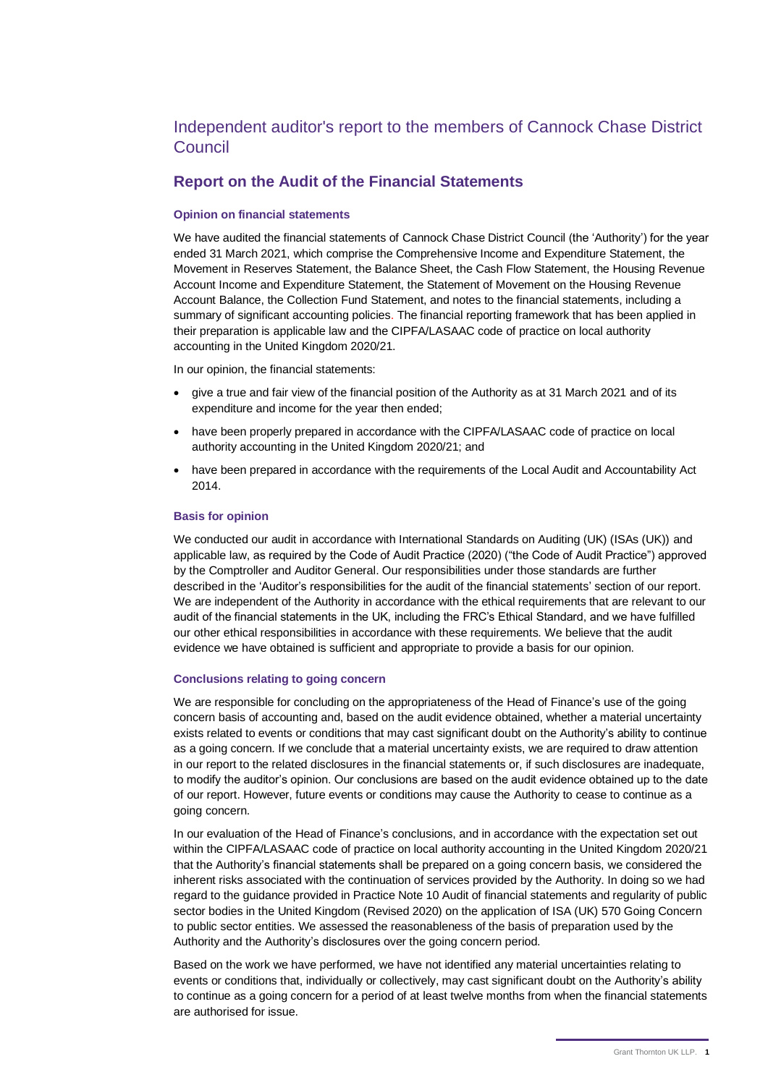# Independent auditor's report to the members of Cannock Chase District Council

## **Report on the Audit of the Financial Statements**

## **Opinion on financial statements**

 We have audited the financial statements of Cannock Chase District Council (the 'Authority') for the year ended 31 March 2021, which comprise the Comprehensive Income and Expenditure Statement, the Movement in Reserves Statement, the Balance Sheet, the Cash Flow Statement, the Housing Revenue Account Income and Expenditure Statement, the Statement of Movement on the Housing Revenue Account Balance, the Collection Fund Statement, and notes to the financial statements, including a summary of significant accounting policies. The financial reporting framework that has been applied in their preparation is applicable law and the CIPFA/LASAAC code of practice on local authority accounting in the United Kingdom 2020/21.

In our opinion, the financial statements:

- • give a true and fair view of the financial position of the Authority as at 31 March 2021 and of its expenditure and income for the year then ended;
- • have been properly prepared in accordance with the CIPFA/LASAAC code of practice on local authority accounting in the United Kingdom 2020/21; and
- • have been prepared in accordance with the requirements of the Local Audit and Accountability Act 2014.

### **Basis for opinion**

 We conducted our audit in accordance with International Standards on Auditing (UK) (ISAs (UK)) and applicable law, as required by the Code of Audit Practice (2020) ("the Code of Audit Practice") approved by the Comptroller and Auditor General. Our responsibilities under those standards are further described in the 'Auditor's responsibilities for the audit of the financial statements' section of our report. We are independent of the Authority in accordance with the ethical requirements that are relevant to our audit of the financial statements in the UK, including the FRC's Ethical Standard, and we have fulfilled our other ethical responsibilities in accordance with these requirements. We believe that the audit evidence we have obtained is sufficient and appropriate to provide a basis for our opinion.

### **Conclusions relating to going concern**

 We are responsible for concluding on the appropriateness of the Head of Finance's use of the going concern basis of accounting and, based on the audit evidence obtained, whether a material uncertainty exists related to events or conditions that may cast significant doubt on the Authority's ability to continue as a going concern. If we conclude that a material uncertainty exists, we are required to draw attention in our report to the related disclosures in the financial statements or, if such disclosures are inadequate, to modify the auditor's opinion. Our conclusions are based on the audit evidence obtained up to the date of our report. However, future events or conditions may cause the Authority to cease to continue as a going concern.

 In our evaluation of the Head of Finance's conclusions, and in accordance with the expectation set out within the CIPFA/LASAAC code of practice on local authority accounting in the United Kingdom 2020/21 that the Authority's financial statements shall be prepared on a going concern basis, we considered the inherent risks associated with the continuation of services provided by the Authority. In doing so we had regard to the guidance provided in Practice Note 10 Audit of financial statements and regularity of public sector bodies in the United Kingdom (Revised 2020) on the application of ISA (UK) 570 Going Concern to public sector entities. We assessed the reasonableness of the basis of preparation used by the Authority and the Authority's disclosures over the going concern period.

 Based on the work we have performed, we have not identified any material uncertainties relating to events or conditions that, individually or collectively, may cast significant doubt on the Authority's ability to continue as a going concern for a period of at least twelve months from when the financial statements are authorised for issue.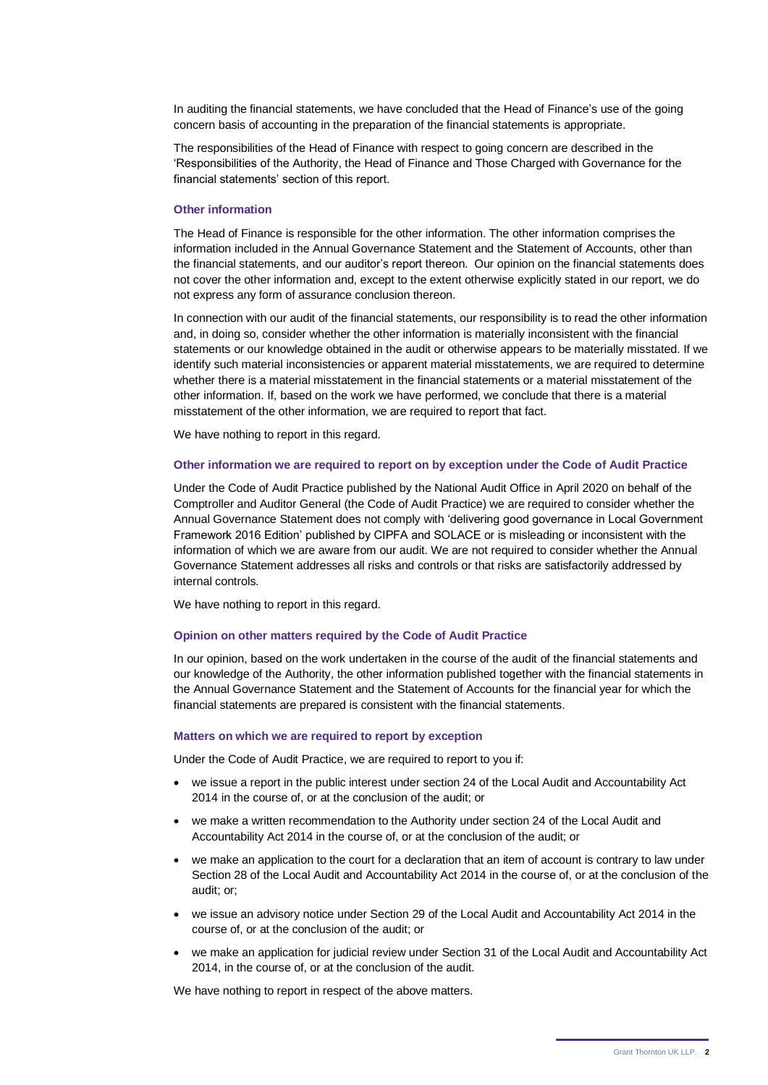In auditing the financial statements, we have concluded that the Head of Finance's use of the going concern basis of accounting in the preparation of the financial statements is appropriate.

 The responsibilities of the Head of Finance with respect to going concern are described in the 'Responsibilities of the Authority, the Head of Finance and Those Charged with Governance for the financial statements' section of this report.

#### **Other information**

 The Head of Finance is responsible for the other information. The other information comprises the information included in the Annual Governance Statement and the Statement of Accounts, other than the financial statements, and our auditor's report thereon. Our opinion on the financial statements does not cover the other information and, except to the extent otherwise explicitly stated in our report, we do not express any form of assurance conclusion thereon.

 In connection with our audit of the financial statements, our responsibility is to read the other information and, in doing so, consider whether the other information is materially inconsistent with the financial statements or our knowledge obtained in the audit or otherwise appears to be materially misstated. If we identify such material inconsistencies or apparent material misstatements, we are required to determine whether there is a material misstatement in the financial statements or a material misstatement of the other information. If, based on the work we have performed, we conclude that there is a material misstatement of the other information, we are required to report that fact.

We have nothing to report in this regard.

#### **Other information we are required to report on by exception under the Code of Audit Practice**

 Under the Code of Audit Practice published by the National Audit Office in April 2020 on behalf of the Comptroller and Auditor General (the Code of Audit Practice) we are required to consider whether the Annual Governance Statement does not comply with 'delivering good governance in Local Government Framework 2016 Edition' published by CIPFA and SOLACE or is misleading or inconsistent with the information of which we are aware from our audit. We are not required to consider whether the Annual Governance Statement addresses all risks and controls or that risks are satisfactorily addressed by internal controls.

We have nothing to report in this regard.

#### **Opinion on other matters required by the Code of Audit Practice**

 In our opinion, based on the work undertaken in the course of the audit of the financial statements and our knowledge of the Authority, the other information published together with the financial statements in the Annual Governance Statement and the Statement of Accounts for the financial year for which the financial statements are prepared is consistent with the financial statements.

#### **Matters on which we are required to report by exception**

Under the Code of Audit Practice, we are required to report to you if:

- • we issue a report in the public interest under section 24 of the Local Audit and Accountability Act 2014 in the course of, or at the conclusion of the audit; or
- • we make a written recommendation to the Authority under section 24 of the Local Audit and Accountability Act 2014 in the course of, or at the conclusion of the audit; or
- • we make an application to the court for a declaration that an item of account is contrary to law under Section 28 of the Local Audit and Accountability Act 2014 in the course of, or at the conclusion of the audit; or;
- • we issue an advisory notice under Section 29 of the Local Audit and Accountability Act 2014 in the course of, or at the conclusion of the audit; or
- • we make an application for judicial review under Section 31 of the Local Audit and Accountability Act 2014, in the course of, or at the conclusion of the audit.

We have nothing to report in respect of the above matters.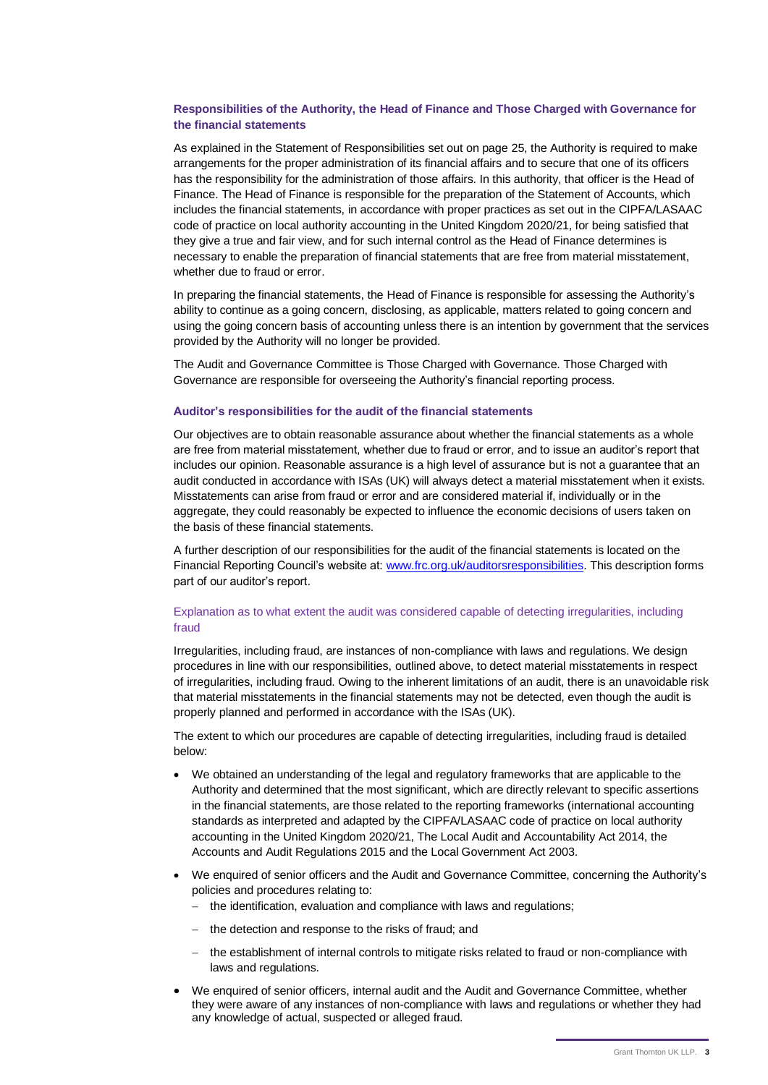## **Responsibilities of the Authority, the Head of Finance and Those Charged with Governance for the financial statements**

 As explained in the Statement of Responsibilities set out on page 25, the Authority is required to make arrangements for the proper administration of its financial affairs and to secure that one of its officers has the responsibility for the administration of those affairs. In this authority, that officer is the Head of Finance. The Head of Finance is responsible for the preparation of the Statement of Accounts, which includes the financial statements, in accordance with proper practices as set out in the CIPFA/LASAAC code of practice on local authority accounting in the United Kingdom 2020/21, for being satisfied that they give a true and fair view, and for such internal control as the Head of Finance determines is necessary to enable the preparation of financial statements that are free from material misstatement, whether due to fraud or error.

 In preparing the financial statements, the Head of Finance is responsible for assessing the Authority's ability to continue as a going concern, disclosing, as applicable, matters related to going concern and using the going concern basis of accounting unless there is an intention by government that the services provided by the Authority will no longer be provided.

 The Audit and Governance Committee is Those Charged with Governance. Those Charged with Governance are responsible for overseeing the Authority's financial reporting process.

#### **Auditor's responsibilities for the audit of the financial statements**

 Our objectives are to obtain reasonable assurance about whether the financial statements as a whole are free from material misstatement, whether due to fraud or error, and to issue an auditor's report that includes our opinion. Reasonable assurance is a high level of assurance but is not a guarantee that an audit conducted in accordance with ISAs (UK) will always detect a material misstatement when it exists. Misstatements can arise from fraud or error and are considered material if, individually or in the aggregate, they could reasonably be expected to influence the economic decisions of users taken on the basis of these financial statements.

 A further description of our responsibilities for the audit of the financial statements is located on the Financial Reporting Council's website at: [www.frc.org.uk/auditorsresponsibilities.](http://www.frc.org.uk/auditorsresponsibilities) This description forms part of our auditor's report.

### Explanation as to what extent the audit was considered capable of detecting irregularities, including fraud

 Irregularities, including fraud, are instances of non-compliance with laws and regulations. We design procedures in line with our responsibilities, outlined above, to detect material misstatements in respect of irregularities, including fraud. Owing to the inherent limitations of an audit, there is an unavoidable risk that material misstatements in the financial statements may not be detected, even though the audit is properly planned and performed in accordance with the ISAs (UK).

 The extent to which our procedures are capable of detecting irregularities, including fraud is detailed below:

- • We obtained an understanding of the legal and regulatory frameworks that are applicable to the Authority and determined that the most significant, which are directly relevant to specific assertions in the financial statements, are those related to the reporting frameworks (international accounting standards as interpreted and adapted by the CIPFA/LASAAC code of practice on local authority accounting in the United Kingdom 2020/21, The Local Audit and Accountability Act 2014, the Accounts and Audit Regulations 2015 and the Local Government Act 2003.
- • We enquired of senior officers and the Audit and Governance Committee, concerning the Authority's policies and procedures relating to:
	- − the identification, evaluation and compliance with laws and regulations;
	- − the detection and response to the risks of fraud; and
	- − the establishment of internal controls to mitigate risks related to fraud or non-compliance with laws and regulations.
- • We enquired of senior officers, internal audit and the Audit and Governance Committee, whether they were aware of any instances of non-compliance with laws and regulations or whether they had any knowledge of actual, suspected or alleged fraud.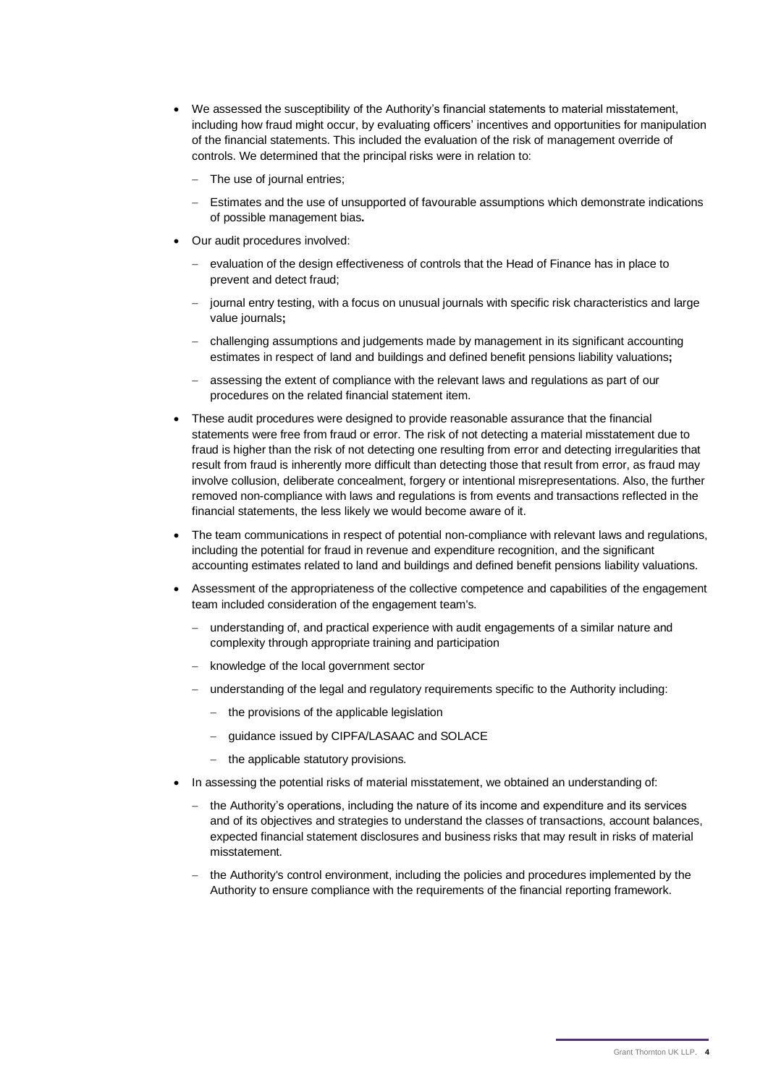- • We assessed the susceptibility of the Authority's financial statements to material misstatement, including how fraud might occur, by evaluating officers' incentives and opportunities for manipulation of the financial statements. This included the evaluation of the risk of management override of controls. We determined that the principal risks were in relation to:
	- − The use of journal entries;
	- − Estimates and the use of unsupported of favourable assumptions which demonstrate indications of possible management bias**.**
- • Our audit procedures involved:
	- − evaluation of the design effectiveness of controls that the Head of Finance has in place to prevent and detect fraud;
	- − journal entry testing, with a focus on unusual journals with specific risk characteristics and large value journals**;**
	- − challenging assumptions and judgements made by management in its significant accounting estimates in respect of land and buildings and defined benefit pensions liability valuations**;**
	- − assessing the extent of compliance with the relevant laws and regulations as part of our procedures on the related financial statement item.
- • These audit procedures were designed to provide reasonable assurance that the financial statements were free from fraud or error. The risk of not detecting a material misstatement due to fraud is higher than the risk of not detecting one resulting from error and detecting irregularities that result from fraud is inherently more difficult than detecting those that result from error, as fraud may involve collusion, deliberate concealment, forgery or intentional misrepresentations. Also, the further removed non-compliance with laws and regulations is from events and transactions reflected in the financial statements, the less likely we would become aware of it.
- • The team communications in respect of potential non-compliance with relevant laws and regulations, including the potential for fraud in revenue and expenditure recognition, and the significant accounting estimates related to land and buildings and defined benefit pensions liability valuations.
- • Assessment of the appropriateness of the collective competence and capabilities of the engagement team included consideration of the engagement team's.
	- − understanding of, and practical experience with audit engagements of a similar nature and complexity through appropriate training and participation
	- − knowledge of the local government sector
	- − understanding of the legal and regulatory requirements specific to the Authority including:
		- − the provisions of the applicable legislation
		- − guidance issued by CIPFA/LASAAC and SOLACE
		- − the applicable statutory provisions.
- • In assessing the potential risks of material misstatement, we obtained an understanding of:
	- − the Authority's operations, including the nature of its income and expenditure and its services and of its objectives and strategies to understand the classes of transactions, account balances, expected financial statement disclosures and business risks that may result in risks of material misstatement.
	- − the Authority's control environment, including the policies and procedures implemented by the Authority to ensure compliance with the requirements of the financial reporting framework.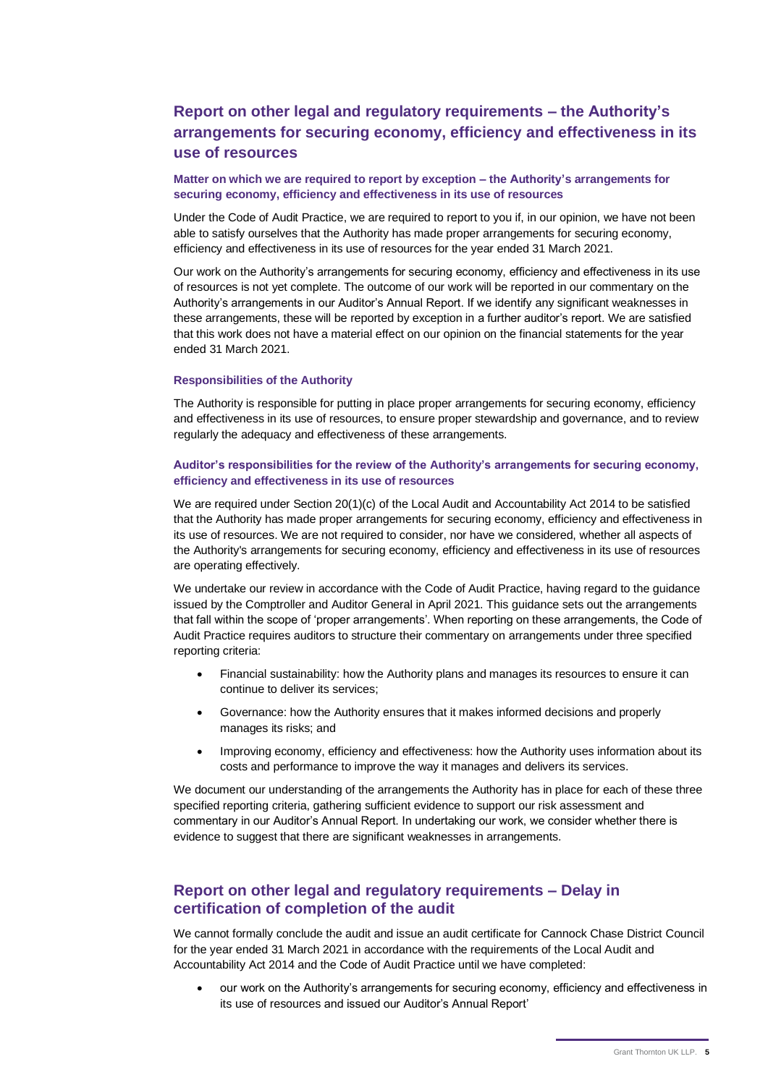# **arrangements for securing economy, efficiency and effectiveness in its Report on other legal and regulatory requirements – the Authority's use of resources**

## **Matter on which we are required to report by exception – the Authority's arrangements for securing economy, efficiency and effectiveness in its use of resources**

 Under the Code of Audit Practice, we are required to report to you if, in our opinion, we have not been able to satisfy ourselves that the Authority has made proper arrangements for securing economy, efficiency and effectiveness in its use of resources for the year ended 31 March 2021.

 Our work on the Authority's arrangements for securing economy, efficiency and effectiveness in its use of resources is not yet complete. The outcome of our work will be reported in our commentary on the Authority's arrangements in our Auditor's Annual Report. If we identify any significant weaknesses in these arrangements, these will be reported by exception in a further auditor's report. We are satisfied that this work does not have a material effect on our opinion on the financial statements for the year ended 31 March 2021.

#### **Responsibilities of the Authority**

 The Authority is responsible for putting in place proper arrangements for securing economy, efficiency and effectiveness in its use of resources, to ensure proper stewardship and governance, and to review regularly the adequacy and effectiveness of these arrangements.

## **Auditor's responsibilities for the review of the Authority's arrangements for securing economy, efficiency and effectiveness in its use of resources**

 We are required under Section 20(1)(c) of the Local Audit and Accountability Act 2014 to be satisfied that the Authority has made proper arrangements for securing economy, efficiency and effectiveness in its use of resources. We are not required to consider, nor have we considered, whether all aspects of the Authority's arrangements for securing economy, efficiency and effectiveness in its use of resources are operating effectively.

 We undertake our review in accordance with the Code of Audit Practice, having regard to the guidance issued by the Comptroller and Auditor General in April 2021. This guidance sets out the arrangements that fall within the scope of 'proper arrangements'. When reporting on these arrangements, the Code of Audit Practice requires auditors to structure their commentary on arrangements under three specified reporting criteria:

- • Financial sustainability: how the Authority plans and manages its resources to ensure it can continue to deliver its services;
- • Governance: how the Authority ensures that it makes informed decisions and properly manages its risks; and
- • Improving economy, efficiency and effectiveness: how the Authority uses information about its costs and performance to improve the way it manages and delivers its services.

 We document our understanding of the arrangements the Authority has in place for each of these three specified reporting criteria, gathering sufficient evidence to support our risk assessment and commentary in our Auditor's Annual Report. In undertaking our work, we consider whether there is evidence to suggest that there are significant weaknesses in arrangements.

## **Report on other legal and regulatory requirements – Delay in certification of completion of the audit**

 We cannot formally conclude the audit and issue an audit certificate for Cannock Chase District Council for the year ended 31 March 2021 in accordance with the requirements of the Local Audit and Accountability Act 2014 and the Code of Audit Practice until we have completed:

 • our work on the Authority's arrangements for securing economy, efficiency and effectiveness in its use of resources and issued our Auditor's Annual Report'